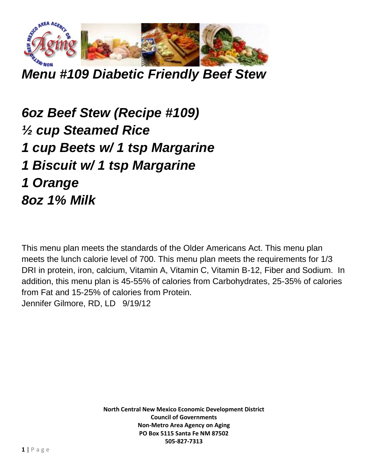

*Menu #109 Diabetic Friendly Beef Stew*

*6oz Beef Stew (Recipe #109) ½ cup Steamed Rice 1 cup Beets w/ 1 tsp Margarine 1 Biscuit w/ 1 tsp Margarine 1 Orange 8oz 1% Milk*

This menu plan meets the standards of the Older Americans Act. This menu plan meets the lunch calorie level of 700. This menu plan meets the requirements for 1/3 DRI in protein, iron, calcium, Vitamin A, Vitamin C, Vitamin B-12, Fiber and Sodium. In addition, this menu plan is 45-55% of calories from Carbohydrates, 25-35% of calories from Fat and 15-25% of calories from Protein. Jennifer Gilmore, RD, LD 9/19/12

> **North Central New Mexico Economic Development District Council of Governments Non-Metro Area Agency on Aging PO Box 5115 Santa Fe NM 87502 505-827-7313**